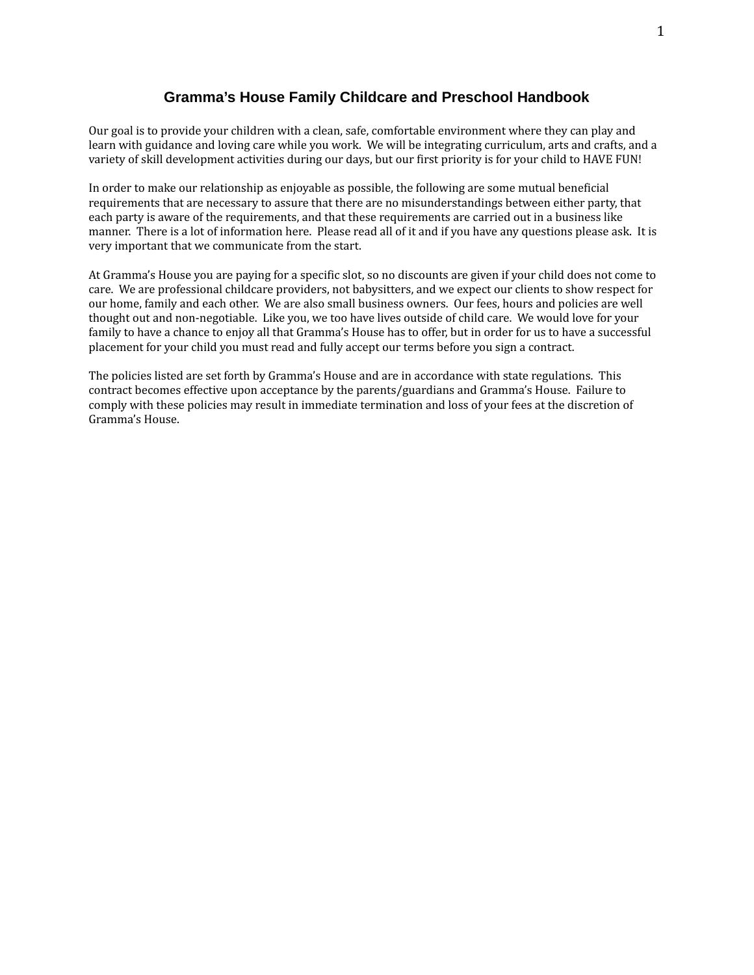## **Gramma's House Family Childcare and Preschool Handbook**

Our goal is to provide your children with a clean, safe, comfortable environment where they can play and learn with guidance and loving care while you work. We will be integrating curriculum, arts and crafts, and a variety of skill development activities during our days, but our first priority is for your child to HAVE FUN!

In order to make our relationship as enjoyable as possible, the following are some mutual beneficial requirements that are necessary to assure that there are no misunderstandings between either party, that each party is aware of the requirements, and that these requirements are carried out in a business like manner. There is a lot of information here. Please read all of it and if you have any questions please ask. It is very important that we communicate from the start.

At Gramma's House you are paying for a specific slot, so no discounts are given if your child does not come to care. We are professional childcare providers, not babysitters, and we expect our clients to show respect for our home, family and each other. We are also small business owners. Our fees, hours and policies are well thought out and non-negotiable. Like you, we too have lives outside of child care. We would love for your family to have a chance to enjoy all that Gramma's House has to offer, but in order for us to have a successful placement for your child you must read and fully accept our terms before you sign a contract.

The policies listed are set forth by Gramma's House and are in accordance with state regulations. This contract becomes effective upon acceptance by the parents/guardians and Gramma's House. Failure to comply with these policies may result in immediate termination and loss of your fees at the discretion of Gramma's House.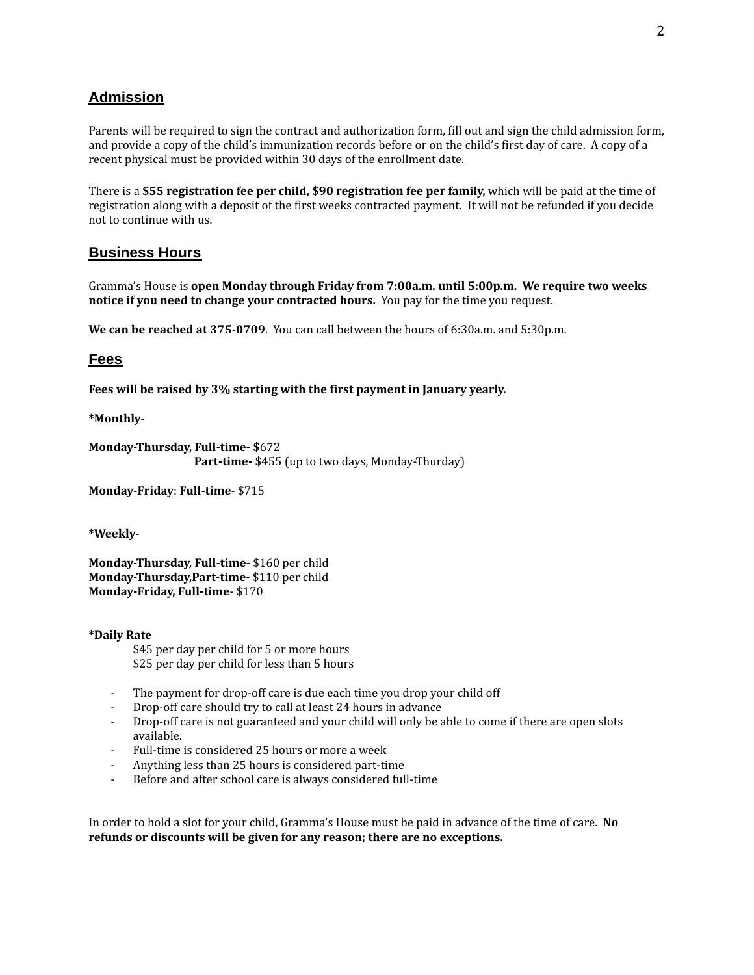## **Admission**

Parents will be required to sign the contract and authorization form, fill out and sign the child admission form, and provide a copy of the child's immunization records before or on the child's first day of care. A copy of a recent physical must be provided within 30 days of the enrollment date.

There is a **\$55 registration fee per child, \$90 registration fee per family,** which will be paid at the time of registration along with a deposit of the first weeks contracted payment. It will not be refunded if you decide not to continue with us.

### **Business Hours**

Gramma's House is **open Monday through Friday from 7:00a.m. until 5:00p.m. We require two weeks notice if you need to change your contracted hours.** You pay for the time you request.

**We can be reached at 375-0709**. You can call between the hours of 6:30a.m. and 5:30p.m.

### **Fees**

**Fees will be raised by 3% starting with the first payment in January yearly.**

**\*Monthly-**

**Monday-Thursday, Full-time- \$**672 **Part-time-** \$455 (up to two days, Monday-Thurday)

**Monday-Friday**: **Full-time**- \$715

**\*Weekly-**

**Monday-Thursday, Full-time-** \$160 per child **Monday-Thursday,Part-time-** \$110 per child **Monday-Friday, Full-time**- \$170

**\*Daily Rate**

\$45 per day per child for 5 or more hours \$25 per day per child for less than 5 hours

- The payment for drop-off care is due each time you drop your child off
- Drop-off care should try to call at least 24 hours in advance
- Drop-off care is not guaranteed and your child will only be able to come if there are open slots available.
- Full-time is considered 25 hours or more a week
- Anything less than 25 hours is considered part-time
- Before and after school care is always considered full-time

In order to hold a slot for your child, Gramma's House must be paid in advance of the time of care. **No refunds or discounts will be given for any reason; there are no exceptions.**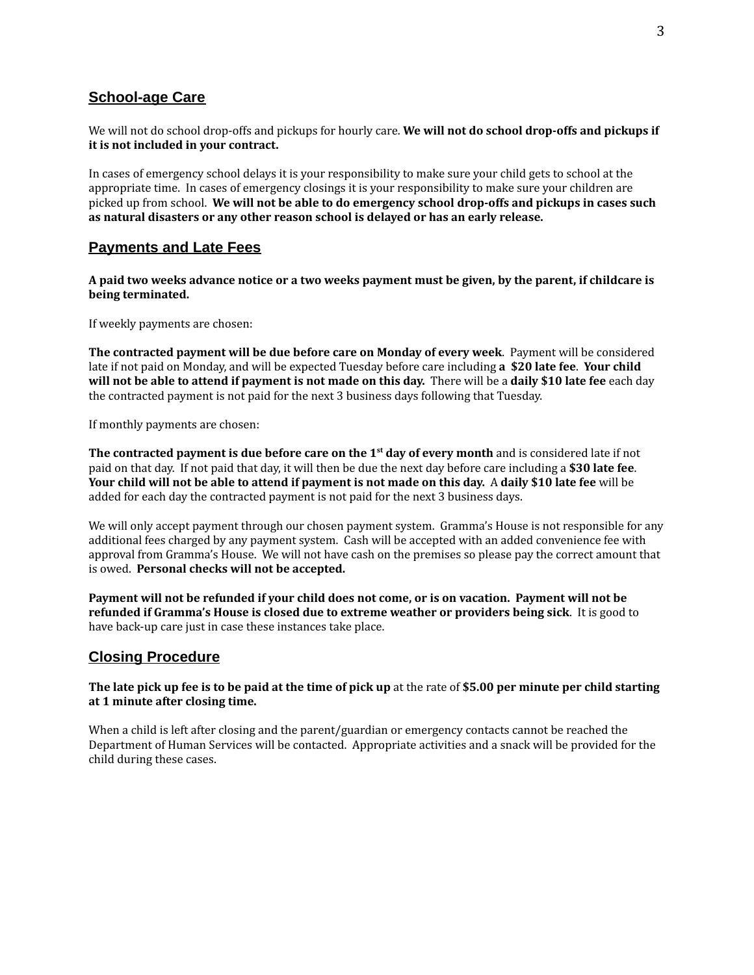## **School-age Care**

We will not do school drop-offs and pickups for hourly care. **We will not do school drop-offs and pickups if it is not included in your contract.**

In cases of emergency school delays it is your responsibility to make sure your child gets to school at the appropriate time. In cases of emergency closings it is your responsibility to make sure your children are picked up from school. **We will not be able to do emergency school drop-offs and pickups in cases such as natural disasters or any other reason school is delayed or has an early release.**

### **Payments and Late Fees**

A paid two weeks advance notice or a two weeks payment must be given, by the parent, if childcare is **being terminated.**

If weekly payments are chosen:

**The contracted payment will be due before care on Monday of every week**. Payment will be considered late if not paid on Monday, and will be expected Tuesday before care including **a \$20 late fee**. **Your child** will not be able to attend if payment is not made on this day. There will be a daily \$10 late fee each day the contracted payment is not paid for the next 3 business days following that Tuesday.

If monthly payments are chosen:

**The contracted payment is due before care on the 1 st day of every month** and is considered late if not paid on that day. If not paid that day, it will then be due the next day before care including a **\$30 late fee**. Your child will not be able to attend if payment is not made on this day. A daily \$10 late fee will be added for each day the contracted payment is not paid for the next 3 business days.

We will only accept payment through our chosen payment system. Gramma's House is not responsible for any additional fees charged by any payment system. Cash will be accepted with an added convenience fee with approval from Gramma's House. We will not have cash on the premises so please pay the correct amount that is owed. **Personal checks will not be accepted.**

Payment will not be refunded if your child does not come, or is on vacation. Payment will not be **refunded if Gramma's House is closed due to extreme weather or providers being sick**. It is good to have back-up care just in case these instances take place.

### **Closing Procedure**

#### The late pick up fee is to be paid at the time of pick up at the rate of \$5.00 per minute per child starting **at 1 minute after closing time.**

When a child is left after closing and the parent/guardian or emergency contacts cannot be reached the Department of Human Services will be contacted. Appropriate activities and a snack will be provided for the child during these cases.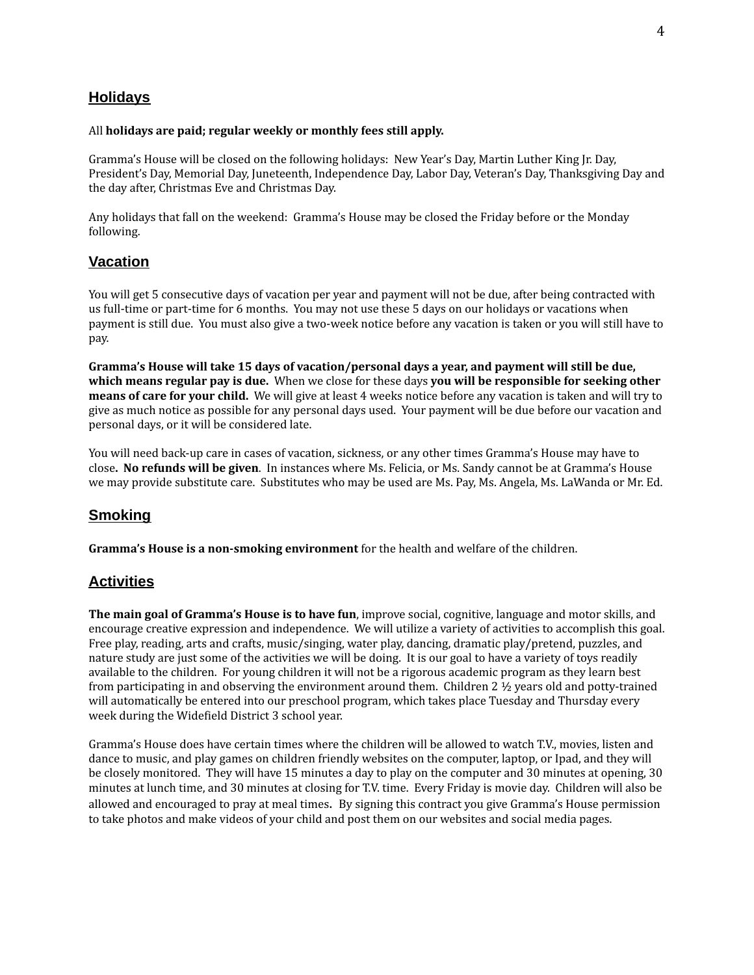## **Holidays**

#### All **holidays are paid; regular weekly or monthly fees still apply.**

Gramma's House will be closed on the following holidays: New Year's Day, Martin Luther King Jr. Day, President's Day, Memorial Day, Juneteenth, Independence Day, Labor Day, Veteran's Day, Thanksgiving Day and the day after, Christmas Eve and Christmas Day.

Any holidays that fall on the weekend: Gramma's House may be closed the Friday before or the Monday following.

### **Vacation**

You will get 5 consecutive days of vacation per year and payment will not be due, after being contracted with us full-time or part-time for 6 months. You may not use these 5 days on our holidays or vacations when payment is still due. You must also give a two-week notice before any vacation is taken or you will still have to pay.

**Gramma's House will take 15 days of vacation/personal days a year, and payment will still be due, which means regular pay is due.** When we close for these days **you will be responsible for seeking other means of care for your child.** We will give at least 4 weeks notice before any vacation is taken and will try to give as much notice as possible for any personal days used. Your payment will be due before our vacation and personal days, or it will be considered late.

You will need back-up care in cases of vacation, sickness, or any other times Gramma's House may have to close**. No refunds will be given**. In instances where Ms. Felicia, or Ms. Sandy cannot be at Gramma's House we may provide substitute care. Substitutes who may be used are Ms. Pay, Ms. Angela, Ms. LaWanda or Mr. Ed.

## **Smoking**

**Gramma's House is a non-smoking environment** for the health and welfare of the children.

## **Activities**

**The main goal of Gramma's House is to have fun**, improve social, cognitive, language and motor skills, and encourage creative expression and independence. We will utilize a variety of activities to accomplish this goal. Free play, reading, arts and crafts, music/singing, water play, dancing, dramatic play/pretend, puzzles, and nature study are just some of the activities we will be doing. It is our goal to have a variety of toys readily available to the children. For young children it will not be a rigorous academic program as they learn best from participating in and observing the environment around them. Children 2  $\frac{1}{2}$  years old and potty-trained will automatically be entered into our preschool program, which takes place Tuesday and Thursday every week during the Widefield District 3 school year.

Gramma's House does have certain times where the children will be allowed to watch T.V., movies, listen and dance to music, and play games on children friendly websites on the computer, laptop, or Ipad, and they will be closely monitored. They will have 15 minutes a day to play on the computer and 30 minutes at opening, 30 minutes at lunch time, and 30 minutes at closing for T.V. time. Every Friday is movie day. Children will also be allowed and encouraged to pray at meal times. By signing this contract you give Gramma's House permission to take photos and make videos of your child and post them on our websites and social media pages.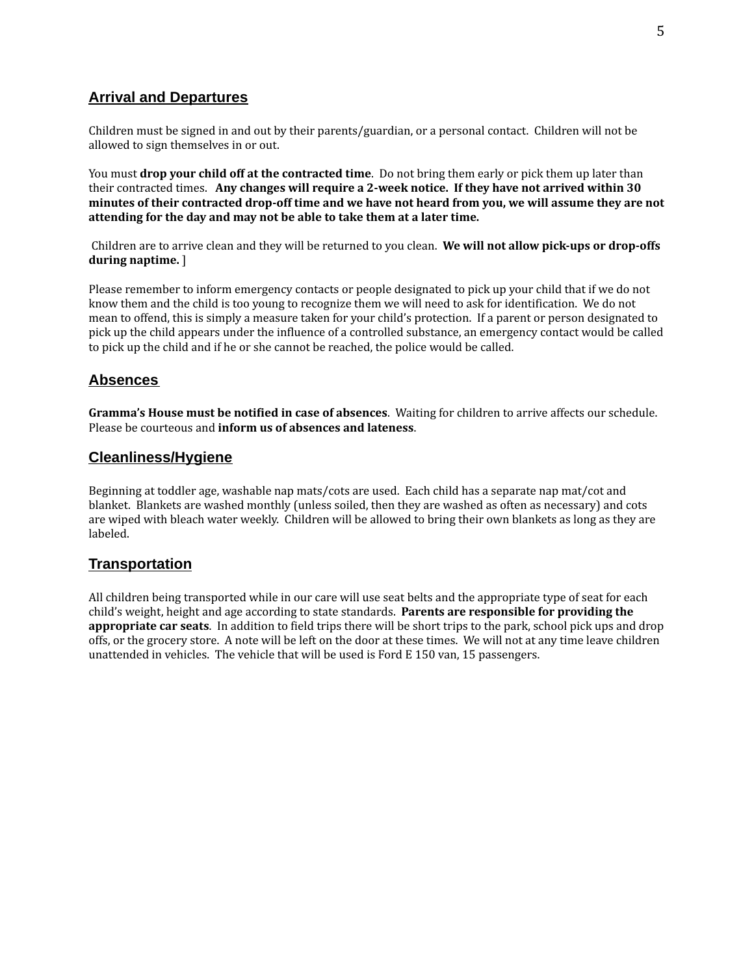## **Arrival and Departures**

Children must be signed in and out by their parents/guardian, or a personal contact. Children will not be allowed to sign themselves in or out.

You must **drop your child off at the contracted time**. Do not bring them early or pick them up later than their contracted times. **Any changes will require a 2-week notice. If they have not arrived within 30** minutes of their contracted drop-off time and we have not heard from you, we will assume they are not **attending for the day and may not be able to take them at a later time.**

Children are to arrive clean and they will be returned to you clean. **We will not allow pick-ups or drop-offs during naptime.** ]

Please remember to inform emergency contacts or people designated to pick up your child that if we do not know them and the child is too young to recognize them we will need to ask for identification. We do not mean to offend, this is simply a measure taken for your child's protection. If a parent or person designated to pick up the child appears under the influence of a controlled substance, an emergency contact would be called to pick up the child and if he or she cannot be reached, the police would be called.

## **Absences**

**Gramma's House must be notified in case of absences**. Waiting for children to arrive affects our schedule. Please be courteous and **inform us of absences and lateness**.

### **Cleanliness/Hygiene**

Beginning at toddler age, washable nap mats/cots are used. Each child has a separate nap mat/cot and blanket. Blankets are washed monthly (unless soiled, then they are washed as often as necessary) and cots are wiped with bleach water weekly. Children will be allowed to bring their own blankets as long as they are labeled.

### **Transportation**

All children being transported while in our care will use seat belts and the appropriate type of seat for each child's weight, height and age according to state standards. **Parents are responsible for providing the appropriate car seats**. In addition to field trips there will be short trips to the park, school pick ups and drop offs, or the grocery store. A note will be left on the door at these times. We will not at any time leave children unattended in vehicles. The vehicle that will be used is Ford E 150 van, 15 passengers.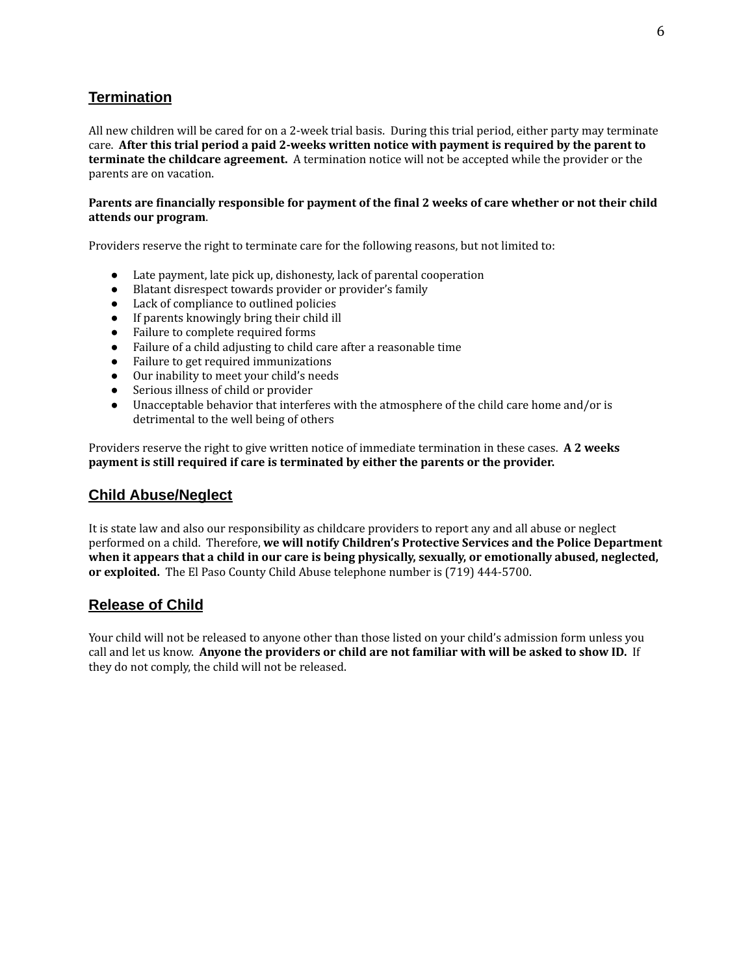## **Termination**

All new children will be cared for on a 2-week trial basis. During this trial period, either party may terminate care. **After this trial period a paid 2-weeks written notice with payment is required by the parent to terminate the childcare agreement.** A termination notice will not be accepted while the provider or the parents are on vacation.

#### Parents are financially responsible for payment of the final 2 weeks of care whether or not their child **attends our program**.

Providers reserve the right to terminate care for the following reasons, but not limited to:

- Late payment, late pick up, dishonesty, lack of parental cooperation
- Blatant disrespect towards provider or provider's family
- Lack of compliance to outlined policies
- If parents knowingly bring their child ill
- Failure to complete required forms
- Failure of a child adjusting to child care after a reasonable time
- Failure to get required immunizations
- Our inability to meet your child's needs
- Serious illness of child or provider
- Unacceptable behavior that interferes with the atmosphere of the child care home and/or is detrimental to the well being of others

Providers reserve the right to give written notice of immediate termination in these cases. **A 2 weeks payment is still required if care is terminated by either the parents or the provider.**

## **Child Abuse/Neglect**

It is state law and also our responsibility as childcare providers to report any and all abuse or neglect performed on a child. Therefore, **we will notify Children's Protective Services and the Police Department when it appears that a child in our care is being physically, sexually, or emotionally abused, neglected, or exploited.** The El Paso County Child Abuse telephone number is (719) 444-5700.

## **Release of Child**

Your child will not be released to anyone other than those listed on your child's admission form unless you call and let us know. **Anyone the providers or child are not familiar with will be asked to show ID.** If they do not comply, the child will not be released.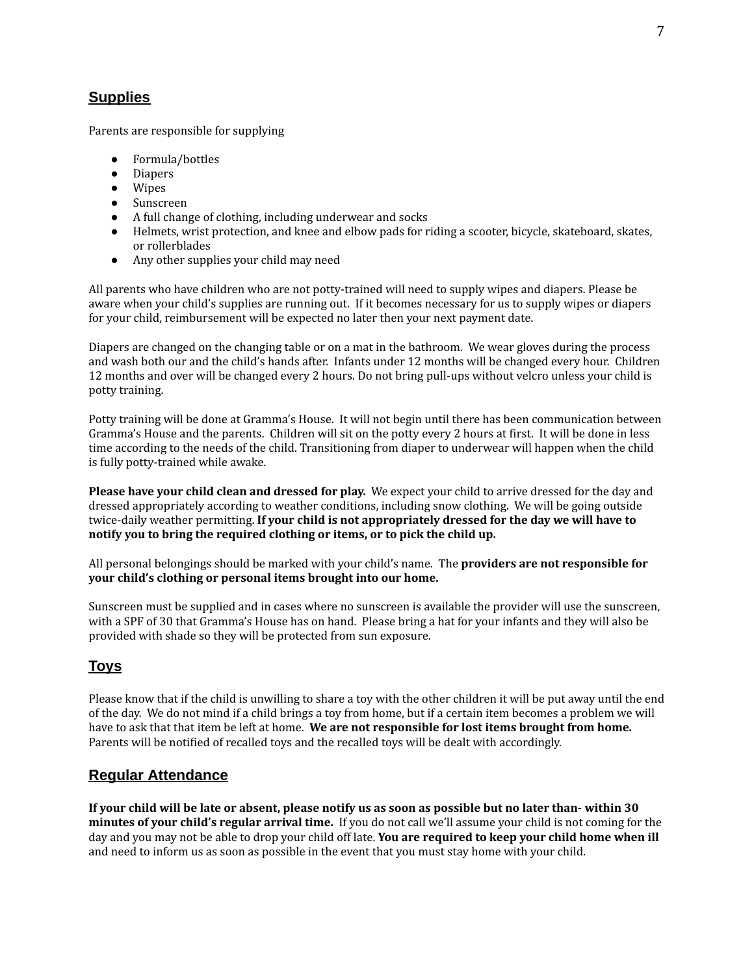# **Supplies**

Parents are responsible for supplying

- Formula/bottles
- Diapers
- Wipes
- Sunscreen
- A full change of clothing, including underwear and socks
- Helmets, wrist protection, and knee and elbow pads for riding a scooter, bicycle, skateboard, skates, or rollerblades
- Any other supplies your child may need

All parents who have children who are not potty-trained will need to supply wipes and diapers. Please be aware when your child's supplies are running out. If it becomes necessary for us to supply wipes or diapers for your child, reimbursement will be expected no later then your next payment date.

Diapers are changed on the changing table or on a mat in the bathroom. We wear gloves during the process and wash both our and the child's hands after. Infants under 12 months will be changed every hour. Children 12 months and over will be changed every 2 hours. Do not bring pull-ups without velcro unless your child is potty training.

Potty training will be done at Gramma's House. It will not begin until there has been communication between Gramma's House and the parents. Children will sit on the potty every 2 hours at first. It will be done in less time according to the needs of the child. Transitioning from diaper to underwear will happen when the child is fully potty-trained while awake.

**Please have your child clean and dressed for play.** We expect your child to arrive dressed for the day and dressed appropriately according to weather conditions, including snow clothing. We will be going outside twice-daily weather permitting. **If your child is not appropriately dressed for the day we will have to notify you to bring the required clothing or items, or to pick the child up.**

All personal belongings should be marked with your child's name. The **providers are not responsible for your child's clothing or personal items brought into our home.**

Sunscreen must be supplied and in cases where no sunscreen is available the provider will use the sunscreen, with a SPF of 30 that Gramma's House has on hand. Please bring a hat for your infants and they will also be provided with shade so they will be protected from sun exposure.

## **Toys**

Please know that if the child is unwilling to share a toy with the other children it will be put away until the end of the day. We do not mind if a child brings a toy from home, but if a certain item becomes a problem we will have to ask that that item be left at home. **We are not responsible for lost items brought from home.** Parents will be notified of recalled toys and the recalled toys will be dealt with accordingly.

## **Regular Attendance**

If your child will be late or absent, please notify us as soon as possible but no later than-within 30 **minutes of your child's regular arrival time.** If you do not call we'll assume your child is not coming for the day and you may not be able to drop your child off late. **You are required to keep your child home when ill** and need to inform us as soon as possible in the event that you must stay home with your child.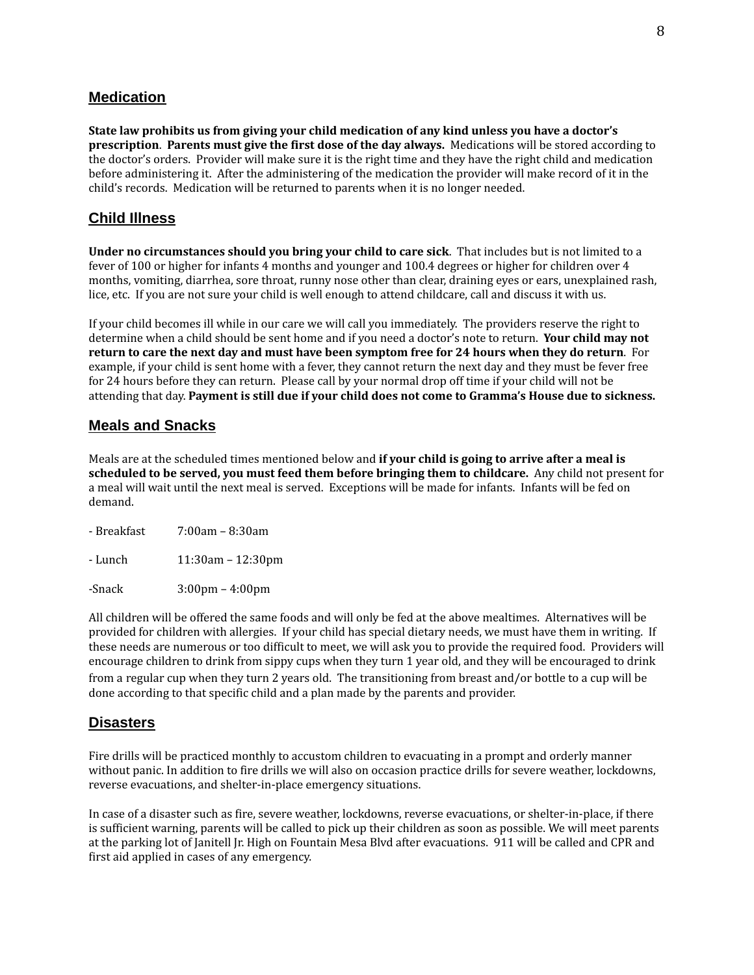## **Medication**

**State law prohibits us from giving your child medication of any kind unless you have a doctor's prescription**. **Parents must give the first dose of the day always.** Medications will be stored according to the doctor's orders. Provider will make sure it is the right time and they have the right child and medication before administering it. After the administering of the medication the provider will make record of it in the child's records. Medication will be returned to parents when it is no longer needed.

## **Child Illness**

**Under no circumstances should you bring your child to care sick**. That includes but is not limited to a fever of 100 or higher for infants 4 months and younger and 100.4 degrees or higher for children over 4 months, vomiting, diarrhea, sore throat, runny nose other than clear, draining eyes or ears, unexplained rash, lice, etc. If you are not sure your child is well enough to attend childcare, call and discuss it with us.

If your child becomes ill while in our care we will call you immediately. The providers reserve the right to determine when a child should be sent home and if you need a doctor's note to return. **Your child may not** return to care the next day and must have been symptom free for 24 hours when they do return. For example, if your child is sent home with a fever, they cannot return the next day and they must be fever free for 24 hours before they can return. Please call by your normal drop off time if your child will not be attending that day. **Payment is still due if your child does not come to Gramma's House due to sickness.**

### **Meals and Snacks**

Meals are at the scheduled times mentioned below and **if your child is going to arrive after a meal is scheduled to be served, you must feed them before bringing them to childcare.** Any child not present for a meal will wait until the next meal is served. Exceptions will be made for infants. Infants will be fed on demand.

| - Breakfast | $7:00am - 8:30am$       |
|-------------|-------------------------|
| - Lunch     | $11:30$ am – $12:30$ pm |

-Snack 3:00pm – 4:00pm

All children will be offered the same foods and will only be fed at the above mealtimes. Alternatives will be provided for children with allergies. If your child has special dietary needs, we must have them in writing. If these needs are numerous or too difficult to meet, we will ask you to provide the required food. Providers will encourage children to drink from sippy cups when they turn 1 year old, and they will be encouraged to drink from a regular cup when they turn 2 years old. The transitioning from breast and/or bottle to a cup will be done according to that specific child and a plan made by the parents and provider.

### **Disasters**

Fire drills will be practiced monthly to accustom children to evacuating in a prompt and orderly manner without panic. In addition to fire drills we will also on occasion practice drills for severe weather, lockdowns, reverse evacuations, and shelter-in-place emergency situations.

In case of a disaster such as fire, severe weather, lockdowns, reverse evacuations, or shelter-in-place, if there is sufficient warning, parents will be called to pick up their children as soon as possible. We will meet parents at the parking lot of Janitell Jr. High on Fountain Mesa Blvd after evacuations. 911 will be called and CPR and first aid applied in cases of any emergency.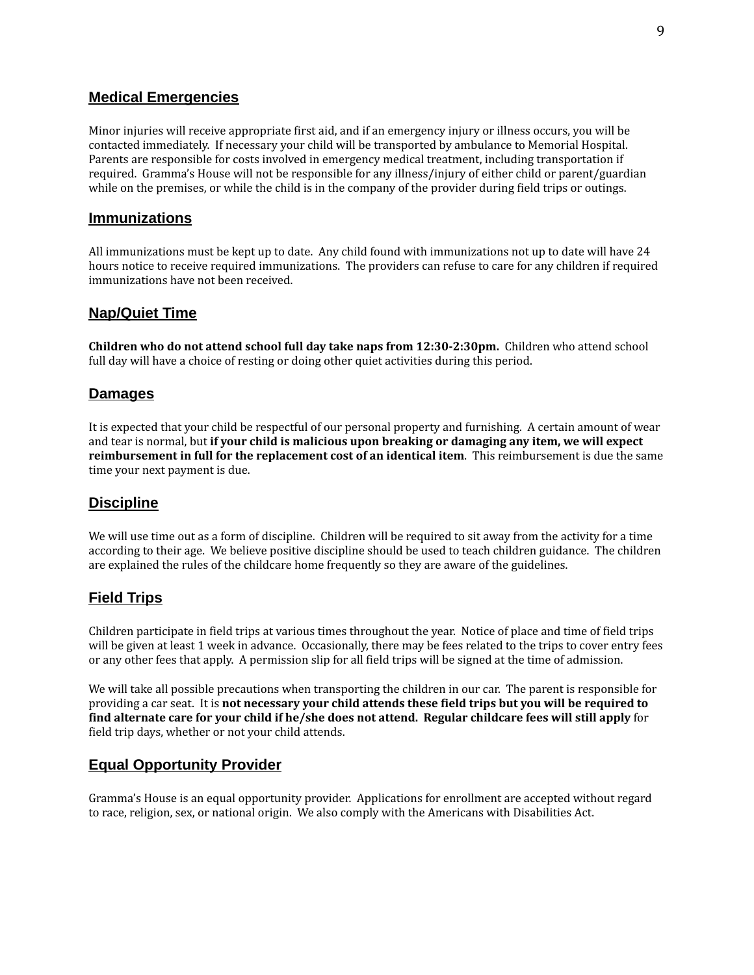### **Medical Emergencies**

Minor injuries will receive appropriate first aid, and if an emergency injury or illness occurs, you will be contacted immediately. If necessary your child will be transported by ambulance to Memorial Hospital. Parents are responsible for costs involved in emergency medical treatment, including transportation if required. Gramma's House will not be responsible for any illness/injury of either child or parent/guardian while on the premises, or while the child is in the company of the provider during field trips or outings.

### **Immunizations**

All immunizations must be kept up to date. Any child found with immunizations not up to date will have 24 hours notice to receive required immunizations. The providers can refuse to care for any children if required immunizations have not been received.

## **Nap/Quiet Time**

**Children who do not attend school full day take naps from 12:30-2:30pm.** Children who attend school full day will have a choice of resting or doing other quiet activities during this period.

### **Damages**

It is expected that your child be respectful of our personal property and furnishing. A certain amount of wear and tear is normal, but **if your child is malicious upon breaking or damaging any item, we will expect reimbursement in full for the replacement cost of an identical item**. This reimbursement is due the same time your next payment is due.

### **Discipline**

We will use time out as a form of discipline. Children will be required to sit away from the activity for a time according to their age. We believe positive discipline should be used to teach children guidance. The children are explained the rules of the childcare home frequently so they are aware of the guidelines.

## **Field Trips**

Children participate in field trips at various times throughout the year. Notice of place and time of field trips will be given at least 1 week in advance. Occasionally, there may be fees related to the trips to cover entry fees or any other fees that apply. A permission slip for all field trips will be signed at the time of admission.

We will take all possible precautions when transporting the children in our car. The parent is responsible for providing a car seat. It is **not necessary your child attends these field trips but you will be required to find alternate care for your child if he/she does not attend. Regular childcare fees will still apply** for field trip days, whether or not your child attends.

## **Equal Opportunity Provider**

Gramma's House is an equal opportunity provider. Applications for enrollment are accepted without regard to race, religion, sex, or national origin. We also comply with the Americans with Disabilities Act.